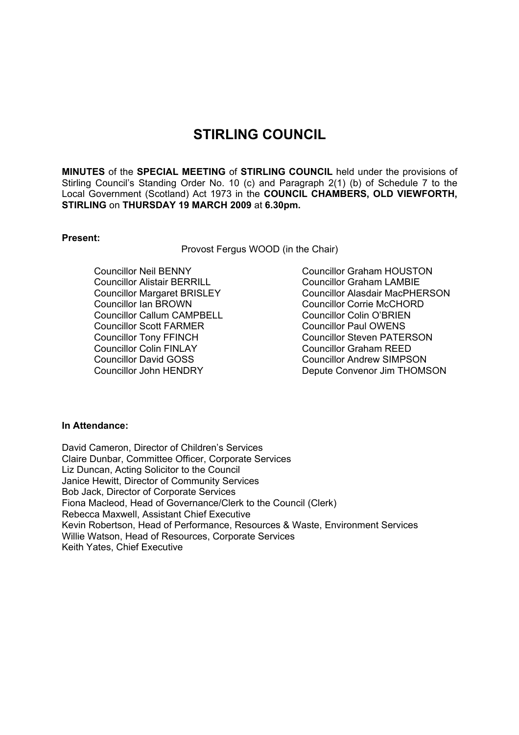# **STIRLING COUNCIL**

**MINUTES** of the **SPECIAL MEETING** of **STIRLING COUNCIL** held under the provisions of Stirling Council's Standing Order No. 10 (c) and Paragraph 2(1) (b) of Schedule 7 to the Local Government (Scotland) Act 1973 in the **COUNCIL CHAMBERS, OLD VIEWFORTH, STIRLING** on **THURSDAY 19 MARCH 2009** at **6.30pm.** 

## **Present:**

Provost Fergus WOOD (in the Chair)

 Councillor Neil BENNY Councillor Alistair BERRILL Councillor Margaret BRISLEY Councillor Ian BROWN Councillor Callum CAMPBELL Councillor Scott FARMER Councillor Tony FFINCH Councillor Colin FINLAY Councillor David GOSS Councillor John HENDRY

Councillor Graham HOUSTON Councillor Graham LAMBIE Councillor Alasdair MacPHERSON Councillor Corrie McCHORD Councillor Colin O'BRIEN Councillor Paul OWENS Councillor Steven PATERSON Councillor Graham REED Councillor Andrew SIMPSON Depute Convenor Jim THOMSON

#### **In Attendance:**

David Cameron, Director of Children's Services Claire Dunbar, Committee Officer, Corporate Services Liz Duncan, Acting Solicitor to the Council Janice Hewitt, Director of Community Services Bob Jack, Director of Corporate Services Fiona Macleod, Head of Governance/Clerk to the Council (Clerk) Rebecca Maxwell, Assistant Chief Executive Kevin Robertson, Head of Performance, Resources & Waste, Environment Services Willie Watson, Head of Resources, Corporate Services Keith Yates, Chief Executive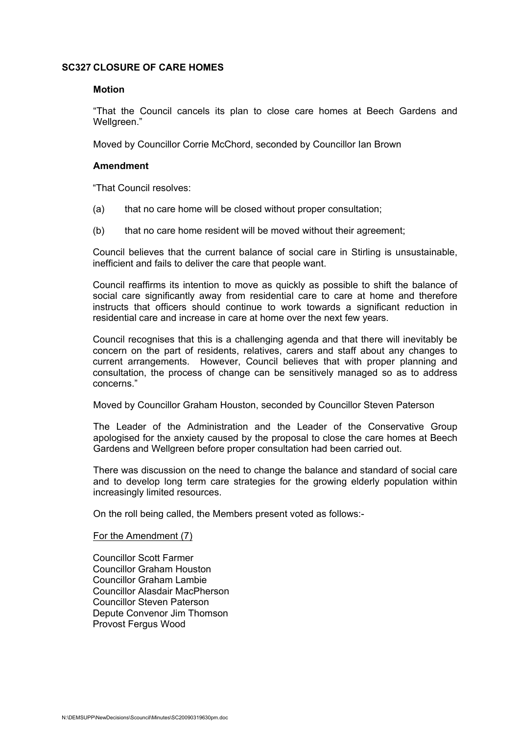## **SC327 CLOSURE OF CARE HOMES**

#### **Motion**

"That the Council cancels its plan to close care homes at Beech Gardens and Wellareen."

Moved by Councillor Corrie McChord, seconded by Councillor Ian Brown

#### **Amendment**

"That Council resolves:

- (a) that no care home will be closed without proper consultation;
- (b) that no care home resident will be moved without their agreement;

Council believes that the current balance of social care in Stirling is unsustainable, inefficient and fails to deliver the care that people want.

Council reaffirms its intention to move as quickly as possible to shift the balance of social care significantly away from residential care to care at home and therefore instructs that officers should continue to work towards a significant reduction in residential care and increase in care at home over the next few years.

Council recognises that this is a challenging agenda and that there will inevitably be concern on the part of residents, relatives, carers and staff about any changes to current arrangements. However, Council believes that with proper planning and consultation, the process of change can be sensitively managed so as to address concerns."

Moved by Councillor Graham Houston, seconded by Councillor Steven Paterson

The Leader of the Administration and the Leader of the Conservative Group apologised for the anxiety caused by the proposal to close the care homes at Beech Gardens and Wellgreen before proper consultation had been carried out.

There was discussion on the need to change the balance and standard of social care and to develop long term care strategies for the growing elderly population within increasingly limited resources.

On the roll being called, the Members present voted as follows:-

#### For the Amendment (7)

Councillor Scott Farmer Councillor Graham Houston Councillor Graham Lambie Councillor Alasdair MacPherson Councillor Steven Paterson Depute Convenor Jim Thomson Provost Fergus Wood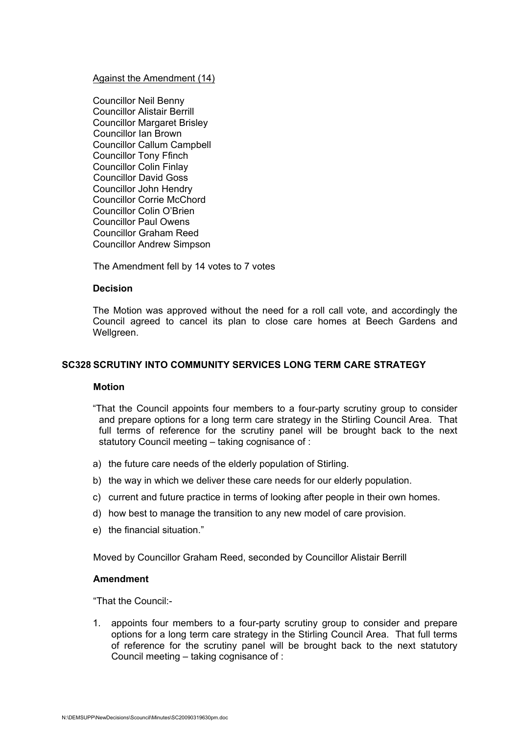#### Against the Amendment (14)

Councillor Neil Benny Councillor Alistair Berrill Councillor Margaret Brisley Councillor Ian Brown Councillor Callum Campbell Councillor Tony Ffinch Councillor Colin Finlay Councillor David Goss Councillor John Hendry Councillor Corrie McChord Councillor Colin O'Brien Councillor Paul Owens Councillor Graham Reed Councillor Andrew Simpson

The Amendment fell by 14 votes to 7 votes

## **Decision**

The Motion was approved without the need for a roll call vote, and accordingly the Council agreed to cancel its plan to close care homes at Beech Gardens and Wellgreen.

## **SC328 SCRUTINY INTO COMMUNITY SERVICES LONG TERM CARE STRATEGY**

#### **Motion**

- "That the Council appoints four members to a four-party scrutiny group to consider and prepare options for a long term care strategy in the Stirling Council Area. That full terms of reference for the scrutiny panel will be brought back to the next statutory Council meeting – taking cognisance of :
- a) the future care needs of the elderly population of Stirling.
- b) the way in which we deliver these care needs for our elderly population.
- c) current and future practice in terms of looking after people in their own homes.
- d) how best to manage the transition to any new model of care provision.
- e) the financial situation."

Moved by Councillor Graham Reed, seconded by Councillor Alistair Berrill

## **Amendment**

"That the Council:-

1. appoints four members to a four-party scrutiny group to consider and prepare options for a long term care strategy in the Stirling Council Area. That full terms of reference for the scrutiny panel will be brought back to the next statutory Council meeting – taking cognisance of :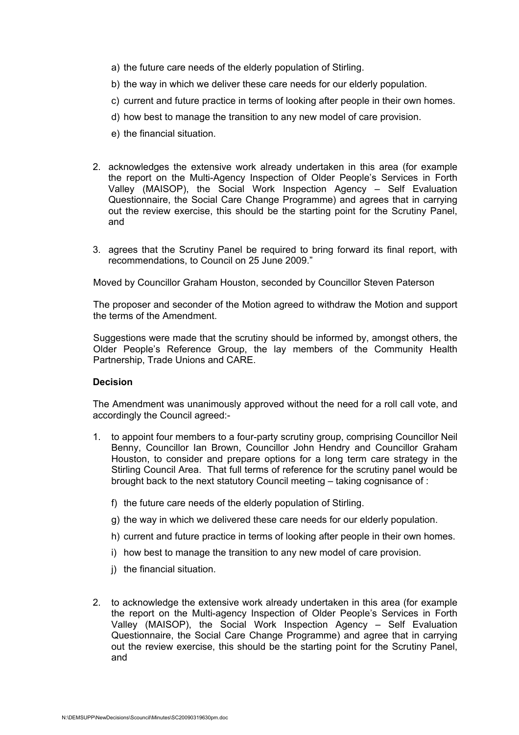- a) the future care needs of the elderly population of Stirling.
- b) the way in which we deliver these care needs for our elderly population.
- c) current and future practice in terms of looking after people in their own homes.
- d) how best to manage the transition to any new model of care provision.
- e) the financial situation.
- 2. acknowledges the extensive work already undertaken in this area (for example the report on the Multi-Agency Inspection of Older People's Services in Forth Valley (MAISOP), the Social Work Inspection Agency – Self Evaluation Questionnaire, the Social Care Change Programme) and agrees that in carrying out the review exercise, this should be the starting point for the Scrutiny Panel, and
- 3. agrees that the Scrutiny Panel be required to bring forward its final report, with recommendations, to Council on 25 June 2009."

Moved by Councillor Graham Houston, seconded by Councillor Steven Paterson

The proposer and seconder of the Motion agreed to withdraw the Motion and support the terms of the Amendment.

Suggestions were made that the scrutiny should be informed by, amongst others, the Older People's Reference Group, the lay members of the Community Health Partnership, Trade Unions and CARE.

#### **Decision**

The Amendment was unanimously approved without the need for a roll call vote, and accordingly the Council agreed:-

- 1. to appoint four members to a four-party scrutiny group, comprising Councillor Neil Benny, Councillor Ian Brown, Councillor John Hendry and Councillor Graham Houston, to consider and prepare options for a long term care strategy in the Stirling Council Area. That full terms of reference for the scrutiny panel would be brought back to the next statutory Council meeting – taking cognisance of :
	- f) the future care needs of the elderly population of Stirling.
	- g) the way in which we delivered these care needs for our elderly population.
	- h) current and future practice in terms of looking after people in their own homes.
	- i) how best to manage the transition to any new model of care provision.
	- j) the financial situation.
- 2. to acknowledge the extensive work already undertaken in this area (for example the report on the Multi-agency Inspection of Older People's Services in Forth Valley (MAISOP), the Social Work Inspection Agency – Self Evaluation Questionnaire, the Social Care Change Programme) and agree that in carrying out the review exercise, this should be the starting point for the Scrutiny Panel, and